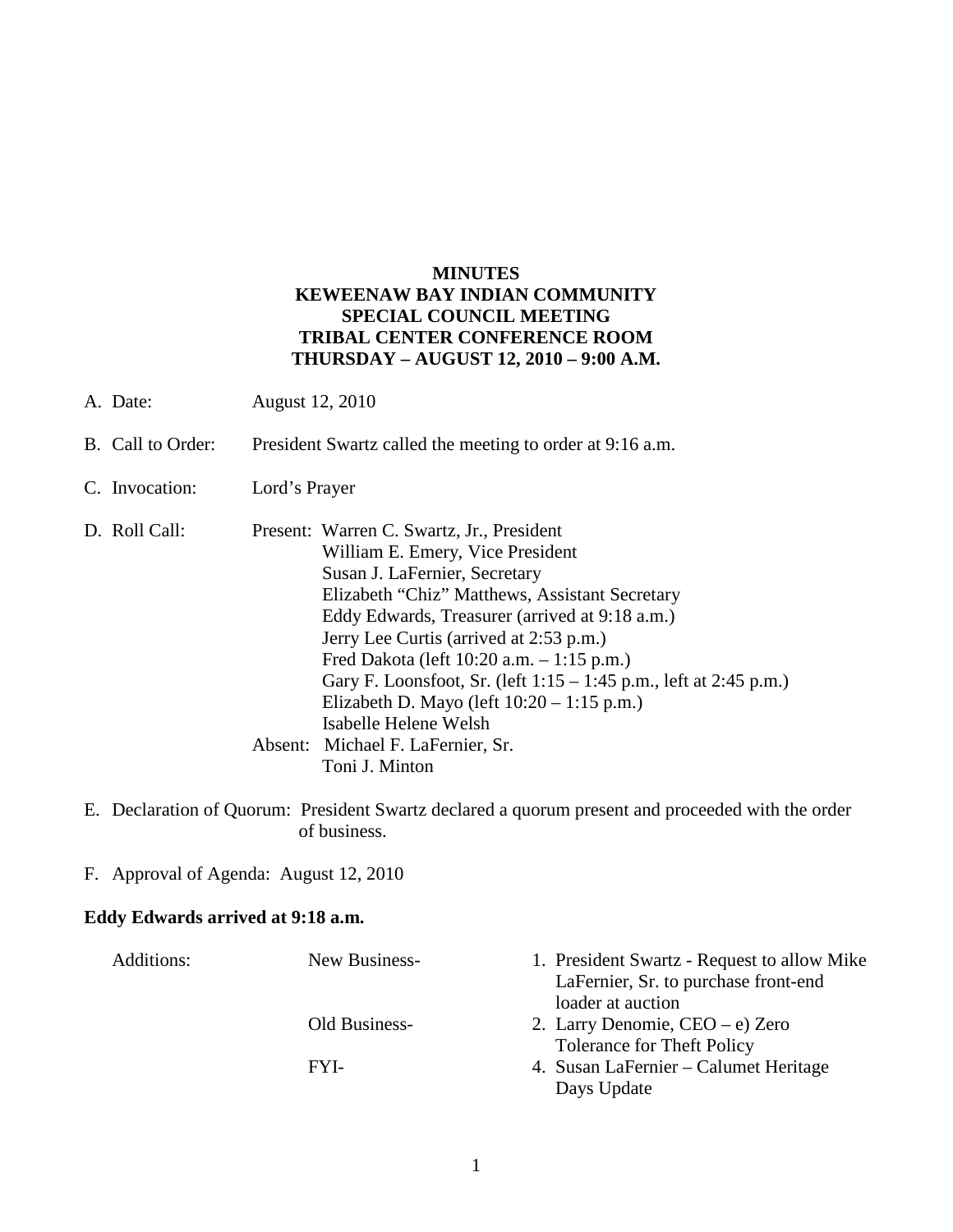## **MINUTES KEWEENAW BAY INDIAN COMMUNITY SPECIAL COUNCIL MEETING TRIBAL CENTER CONFERENCE ROOM THURSDAY – AUGUST 12, 2010 – 9:00 A.M.**

- A. Date: August 12, 2010
- B. Call to Order: President Swartz called the meeting to order at 9:16 a.m.
- C. Invocation: Lord's Prayer
- D. Roll Call: Present: Warren C. Swartz, Jr., President William E. Emery, Vice President Susan J. LaFernier, Secretary Elizabeth "Chiz" Matthews, Assistant Secretary Eddy Edwards, Treasurer (arrived at 9:18 a.m.) Jerry Lee Curtis (arrived at 2:53 p.m.) Fred Dakota (left 10:20 a.m. – 1:15 p.m.) Gary F. Loonsfoot, Sr. (left 1:15 – 1:45 p.m., left at 2:45 p.m.) Elizabeth D. Mayo (left 10:20 – 1:15 p.m.) Isabelle Helene Welsh Absent: Michael F. LaFernier, Sr. Toni J. Minton
- E. Declaration of Quorum: President Swartz declared a quorum present and proceeded with the order of business.
- F. Approval of Agenda: August 12, 2010

## **Eddy Edwards arrived at 9:18 a.m.**

| Additions: | New Business- | 1. President Swartz - Request to allow Mike<br>LaFernier, Sr. to purchase front-end |
|------------|---------------|-------------------------------------------------------------------------------------|
|            |               | loader at auction                                                                   |
|            | Old Business- | 2. Larry Denomie, $CEO - e$ ) Zero<br><b>Tolerance for Theft Policy</b>             |
|            | FYI-          | 4. Susan LaFernier – Calumet Heritage                                               |
|            |               | Days Update                                                                         |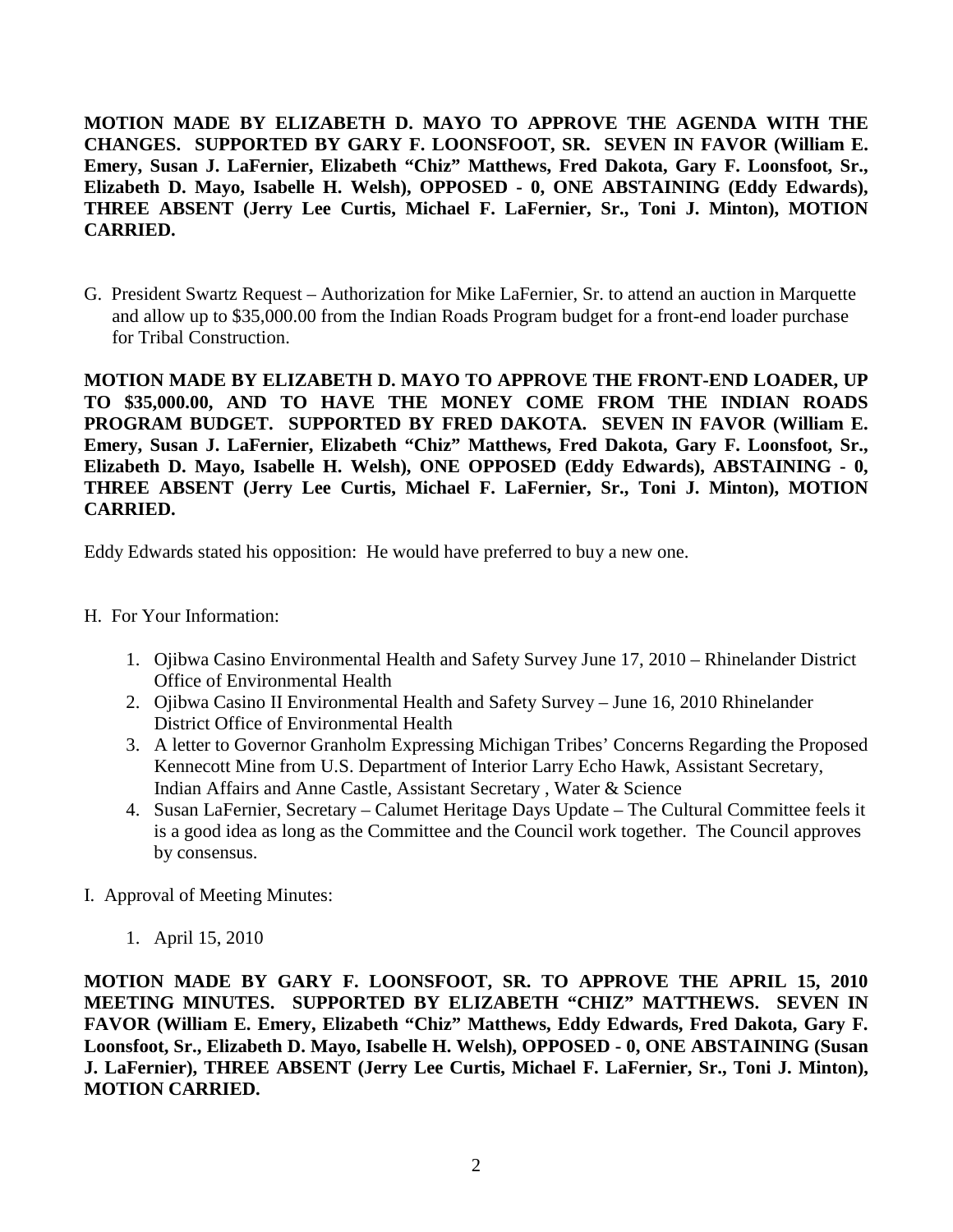**MOTION MADE BY ELIZABETH D. MAYO TO APPROVE THE AGENDA WITH THE CHANGES. SUPPORTED BY GARY F. LOONSFOOT, SR. SEVEN IN FAVOR (William E. Emery, Susan J. LaFernier, Elizabeth "Chiz" Matthews, Fred Dakota, Gary F. Loonsfoot, Sr., Elizabeth D. Mayo, Isabelle H. Welsh), OPPOSED - 0, ONE ABSTAINING (Eddy Edwards), THREE ABSENT (Jerry Lee Curtis, Michael F. LaFernier, Sr., Toni J. Minton), MOTION CARRIED.**

G. President Swartz Request – Authorization for Mike LaFernier, Sr. to attend an auction in Marquette and allow up to \$35,000.00 from the Indian Roads Program budget for a front-end loader purchase for Tribal Construction.

**MOTION MADE BY ELIZABETH D. MAYO TO APPROVE THE FRONT-END LOADER, UP TO \$35,000.00, AND TO HAVE THE MONEY COME FROM THE INDIAN ROADS PROGRAM BUDGET. SUPPORTED BY FRED DAKOTA. SEVEN IN FAVOR (William E. Emery, Susan J. LaFernier, Elizabeth "Chiz" Matthews, Fred Dakota, Gary F. Loonsfoot, Sr., Elizabeth D. Mayo, Isabelle H. Welsh), ONE OPPOSED (Eddy Edwards), ABSTAINING - 0, THREE ABSENT (Jerry Lee Curtis, Michael F. LaFernier, Sr., Toni J. Minton), MOTION CARRIED.**

Eddy Edwards stated his opposition: He would have preferred to buy a new one.

- H. For Your Information:
	- 1. Ojibwa Casino Environmental Health and Safety Survey June 17, 2010 Rhinelander District Office of Environmental Health
	- 2. Ojibwa Casino II Environmental Health and Safety Survey June 16, 2010 Rhinelander District Office of Environmental Health
	- 3. A letter to Governor Granholm Expressing Michigan Tribes' Concerns Regarding the Proposed Kennecott Mine from U.S. Department of Interior Larry Echo Hawk, Assistant Secretary, Indian Affairs and Anne Castle, Assistant Secretary , Water & Science
	- 4. Susan LaFernier, Secretary Calumet Heritage Days Update The Cultural Committee feels it is a good idea as long as the Committee and the Council work together. The Council approves by consensus.
- I. Approval of Meeting Minutes:
	- 1. April 15, 2010

**MOTION MADE BY GARY F. LOONSFOOT, SR. TO APPROVE THE APRIL 15, 2010 MEETING MINUTES. SUPPORTED BY ELIZABETH "CHIZ" MATTHEWS. SEVEN IN FAVOR (William E. Emery, Elizabeth "Chiz" Matthews, Eddy Edwards, Fred Dakota, Gary F. Loonsfoot, Sr., Elizabeth D. Mayo, Isabelle H. Welsh), OPPOSED - 0, ONE ABSTAINING (Susan J. LaFernier), THREE ABSENT (Jerry Lee Curtis, Michael F. LaFernier, Sr., Toni J. Minton), MOTION CARRIED.**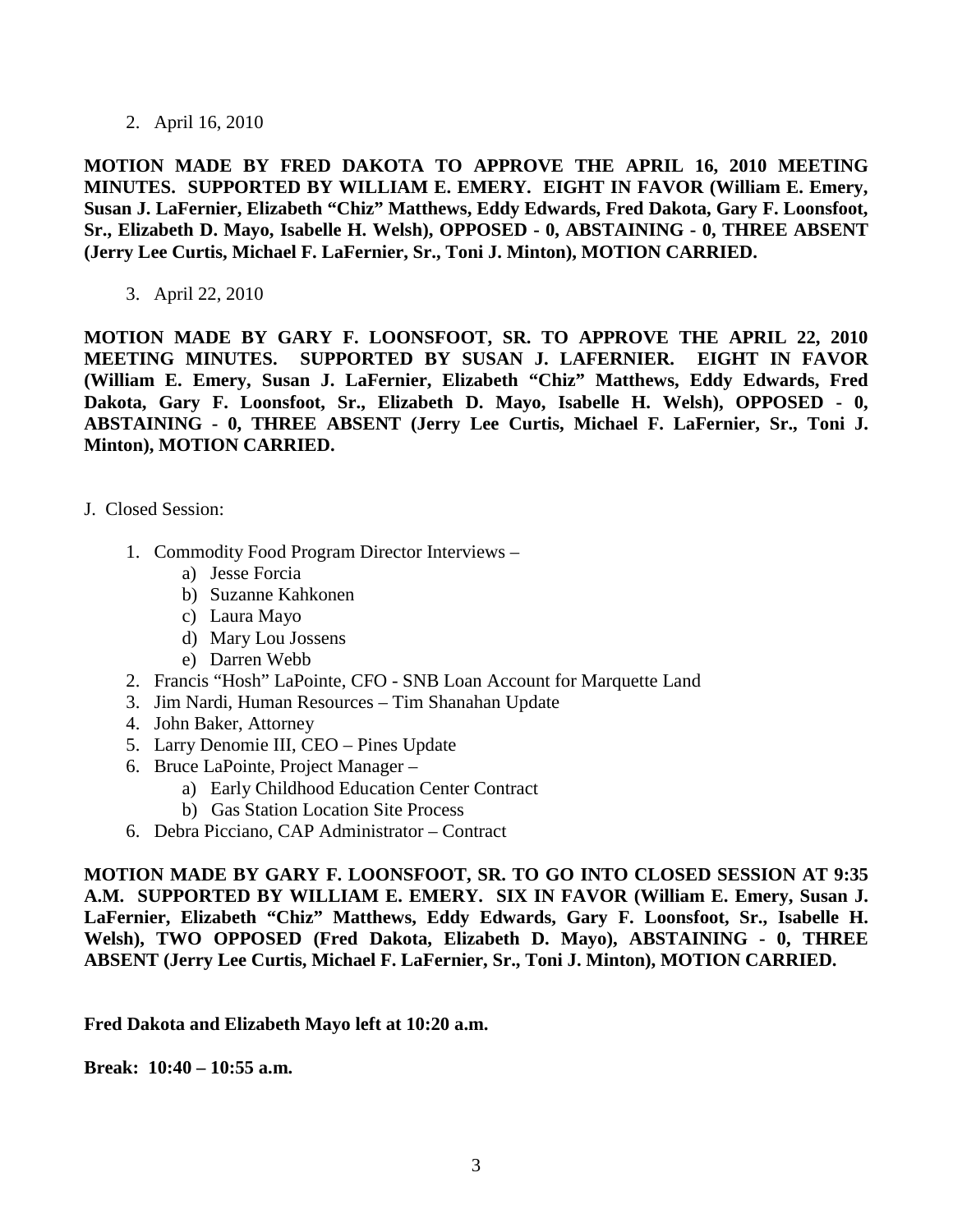2. April 16, 2010

**MOTION MADE BY FRED DAKOTA TO APPROVE THE APRIL 16, 2010 MEETING MINUTES. SUPPORTED BY WILLIAM E. EMERY. EIGHT IN FAVOR (William E. Emery, Susan J. LaFernier, Elizabeth "Chiz" Matthews, Eddy Edwards, Fred Dakota, Gary F. Loonsfoot, Sr., Elizabeth D. Mayo, Isabelle H. Welsh), OPPOSED - 0, ABSTAINING - 0, THREE ABSENT (Jerry Lee Curtis, Michael F. LaFernier, Sr., Toni J. Minton), MOTION CARRIED.**

3. April 22, 2010

**MOTION MADE BY GARY F. LOONSFOOT, SR. TO APPROVE THE APRIL 22, 2010 MEETING MINUTES. SUPPORTED BY SUSAN J. LAFERNIER. EIGHT IN FAVOR (William E. Emery, Susan J. LaFernier, Elizabeth "Chiz" Matthews, Eddy Edwards, Fred Dakota, Gary F. Loonsfoot, Sr., Elizabeth D. Mayo, Isabelle H. Welsh), OPPOSED - 0, ABSTAINING - 0, THREE ABSENT (Jerry Lee Curtis, Michael F. LaFernier, Sr., Toni J. Minton), MOTION CARRIED.**

- J. Closed Session:
	- 1. Commodity Food Program Director Interviews
		- a) Jesse Forcia
		- b) Suzanne Kahkonen
		- c) Laura Mayo
		- d) Mary Lou Jossens
		- e) Darren Webb
	- 2. Francis "Hosh" LaPointe, CFO SNB Loan Account for Marquette Land
	- 3. Jim Nardi, Human Resources Tim Shanahan Update
	- 4. John Baker, Attorney
	- 5. Larry Denomie III, CEO Pines Update
	- 6. Bruce LaPointe, Project Manager
		- a) Early Childhood Education Center Contract
		- b) Gas Station Location Site Process
	- 6. Debra Picciano, CAP Administrator Contract

**MOTION MADE BY GARY F. LOONSFOOT, SR. TO GO INTO CLOSED SESSION AT 9:35 A.M. SUPPORTED BY WILLIAM E. EMERY. SIX IN FAVOR (William E. Emery, Susan J. LaFernier, Elizabeth "Chiz" Matthews, Eddy Edwards, Gary F. Loonsfoot, Sr., Isabelle H. Welsh), TWO OPPOSED (Fred Dakota, Elizabeth D. Mayo), ABSTAINING - 0, THREE ABSENT (Jerry Lee Curtis, Michael F. LaFernier, Sr., Toni J. Minton), MOTION CARRIED.**

**Fred Dakota and Elizabeth Mayo left at 10:20 a.m.** 

**Break: 10:40 – 10:55 a.m.**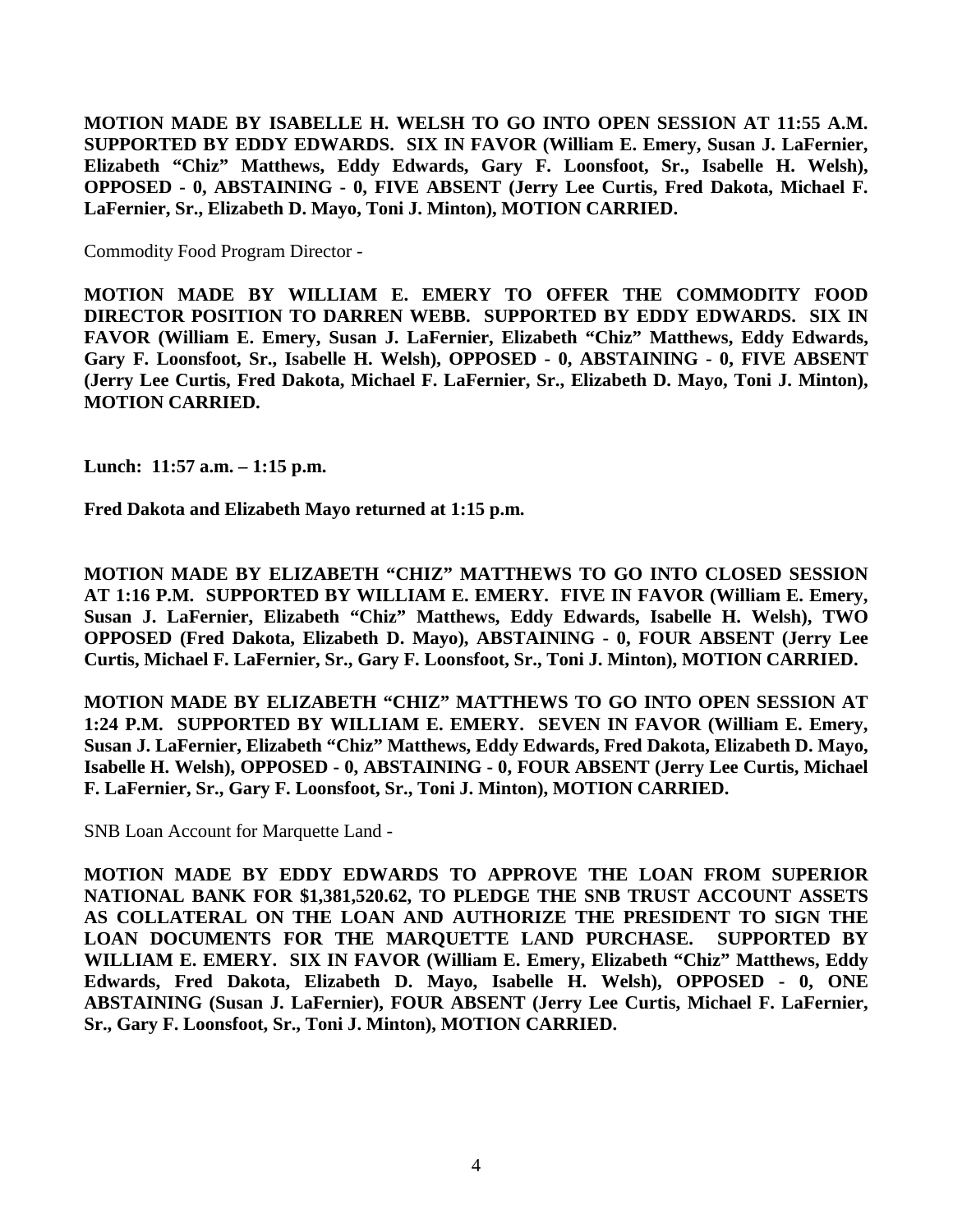**MOTION MADE BY ISABELLE H. WELSH TO GO INTO OPEN SESSION AT 11:55 A.M. SUPPORTED BY EDDY EDWARDS. SIX IN FAVOR (William E. Emery, Susan J. LaFernier, Elizabeth "Chiz" Matthews, Eddy Edwards, Gary F. Loonsfoot, Sr., Isabelle H. Welsh), OPPOSED - 0, ABSTAINING - 0, FIVE ABSENT (Jerry Lee Curtis, Fred Dakota, Michael F. LaFernier, Sr., Elizabeth D. Mayo, Toni J. Minton), MOTION CARRIED.**

Commodity Food Program Director -

**MOTION MADE BY WILLIAM E. EMERY TO OFFER THE COMMODITY FOOD DIRECTOR POSITION TO DARREN WEBB. SUPPORTED BY EDDY EDWARDS. SIX IN FAVOR (William E. Emery, Susan J. LaFernier, Elizabeth "Chiz" Matthews, Eddy Edwards, Gary F. Loonsfoot, Sr., Isabelle H. Welsh), OPPOSED - 0, ABSTAINING - 0, FIVE ABSENT (Jerry Lee Curtis, Fred Dakota, Michael F. LaFernier, Sr., Elizabeth D. Mayo, Toni J. Minton), MOTION CARRIED.**

**Lunch: 11:57 a.m. – 1:15 p.m.** 

**Fred Dakota and Elizabeth Mayo returned at 1:15 p.m.** 

**MOTION MADE BY ELIZABETH "CHIZ" MATTHEWS TO GO INTO CLOSED SESSION AT 1:16 P.M. SUPPORTED BY WILLIAM E. EMERY. FIVE IN FAVOR (William E. Emery, Susan J. LaFernier, Elizabeth "Chiz" Matthews, Eddy Edwards, Isabelle H. Welsh), TWO OPPOSED (Fred Dakota, Elizabeth D. Mayo), ABSTAINING - 0, FOUR ABSENT (Jerry Lee Curtis, Michael F. LaFernier, Sr., Gary F. Loonsfoot, Sr., Toni J. Minton), MOTION CARRIED.**

**MOTION MADE BY ELIZABETH "CHIZ" MATTHEWS TO GO INTO OPEN SESSION AT 1:24 P.M. SUPPORTED BY WILLIAM E. EMERY. SEVEN IN FAVOR (William E. Emery, Susan J. LaFernier, Elizabeth "Chiz" Matthews, Eddy Edwards, Fred Dakota, Elizabeth D. Mayo, Isabelle H. Welsh), OPPOSED - 0, ABSTAINING - 0, FOUR ABSENT (Jerry Lee Curtis, Michael F. LaFernier, Sr., Gary F. Loonsfoot, Sr., Toni J. Minton), MOTION CARRIED.** 

SNB Loan Account for Marquette Land -

**MOTION MADE BY EDDY EDWARDS TO APPROVE THE LOAN FROM SUPERIOR NATIONAL BANK FOR \$1,381,520.62, TO PLEDGE THE SNB TRUST ACCOUNT ASSETS AS COLLATERAL ON THE LOAN AND AUTHORIZE THE PRESIDENT TO SIGN THE LOAN DOCUMENTS FOR THE MARQUETTE LAND PURCHASE. SUPPORTED BY WILLIAM E. EMERY. SIX IN FAVOR (William E. Emery, Elizabeth "Chiz" Matthews, Eddy Edwards, Fred Dakota, Elizabeth D. Mayo, Isabelle H. Welsh), OPPOSED - 0, ONE ABSTAINING (Susan J. LaFernier), FOUR ABSENT (Jerry Lee Curtis, Michael F. LaFernier, Sr., Gary F. Loonsfoot, Sr., Toni J. Minton), MOTION CARRIED.**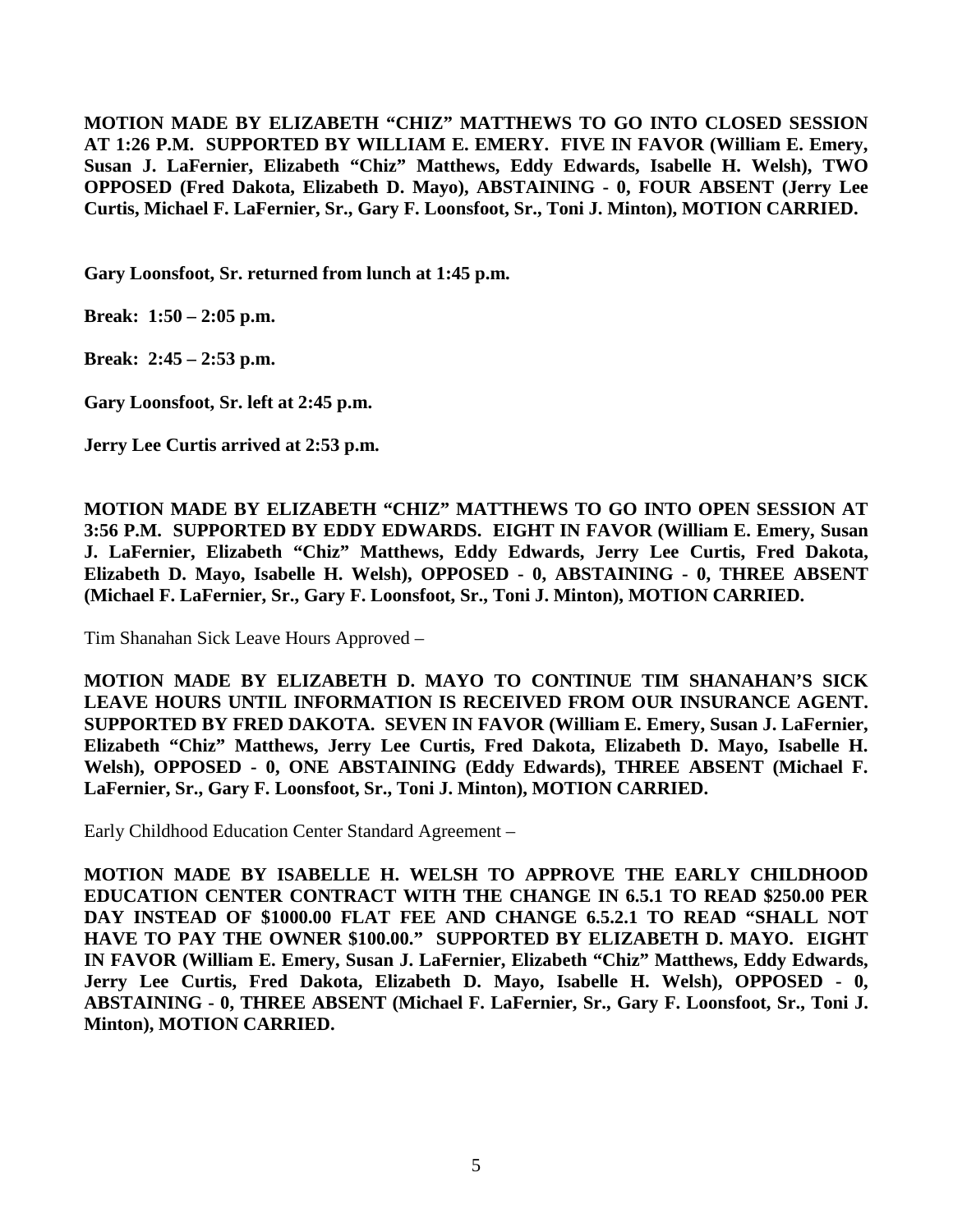**MOTION MADE BY ELIZABETH "CHIZ" MATTHEWS TO GO INTO CLOSED SESSION AT 1:26 P.M. SUPPORTED BY WILLIAM E. EMERY. FIVE IN FAVOR (William E. Emery, Susan J. LaFernier, Elizabeth "Chiz" Matthews, Eddy Edwards, Isabelle H. Welsh), TWO OPPOSED (Fred Dakota, Elizabeth D. Mayo), ABSTAINING - 0, FOUR ABSENT (Jerry Lee Curtis, Michael F. LaFernier, Sr., Gary F. Loonsfoot, Sr., Toni J. Minton), MOTION CARRIED.**

**Gary Loonsfoot, Sr. returned from lunch at 1:45 p.m.** 

**Break: 1:50 – 2:05 p.m.** 

**Break: 2:45 – 2:53 p.m.** 

**Gary Loonsfoot, Sr. left at 2:45 p.m.** 

**Jerry Lee Curtis arrived at 2:53 p.m.** 

**MOTION MADE BY ELIZABETH "CHIZ" MATTHEWS TO GO INTO OPEN SESSION AT 3:56 P.M. SUPPORTED BY EDDY EDWARDS. EIGHT IN FAVOR (William E. Emery, Susan J. LaFernier, Elizabeth "Chiz" Matthews, Eddy Edwards, Jerry Lee Curtis, Fred Dakota, Elizabeth D. Mayo, Isabelle H. Welsh), OPPOSED - 0, ABSTAINING - 0, THREE ABSENT (Michael F. LaFernier, Sr., Gary F. Loonsfoot, Sr., Toni J. Minton), MOTION CARRIED.** 

Tim Shanahan Sick Leave Hours Approved –

**MOTION MADE BY ELIZABETH D. MAYO TO CONTINUE TIM SHANAHAN'S SICK LEAVE HOURS UNTIL INFORMATION IS RECEIVED FROM OUR INSURANCE AGENT. SUPPORTED BY FRED DAKOTA. SEVEN IN FAVOR (William E. Emery, Susan J. LaFernier, Elizabeth "Chiz" Matthews, Jerry Lee Curtis, Fred Dakota, Elizabeth D. Mayo, Isabelle H. Welsh), OPPOSED - 0, ONE ABSTAINING (Eddy Edwards), THREE ABSENT (Michael F. LaFernier, Sr., Gary F. Loonsfoot, Sr., Toni J. Minton), MOTION CARRIED.** 

Early Childhood Education Center Standard Agreement –

**MOTION MADE BY ISABELLE H. WELSH TO APPROVE THE EARLY CHILDHOOD EDUCATION CENTER CONTRACT WITH THE CHANGE IN 6.5.1 TO READ \$250.00 PER DAY INSTEAD OF \$1000.00 FLAT FEE AND CHANGE 6.5.2.1 TO READ "SHALL NOT HAVE TO PAY THE OWNER \$100.00." SUPPORTED BY ELIZABETH D. MAYO. EIGHT IN FAVOR (William E. Emery, Susan J. LaFernier, Elizabeth "Chiz" Matthews, Eddy Edwards, Jerry Lee Curtis, Fred Dakota, Elizabeth D. Mayo, Isabelle H. Welsh), OPPOSED - 0, ABSTAINING - 0, THREE ABSENT (Michael F. LaFernier, Sr., Gary F. Loonsfoot, Sr., Toni J. Minton), MOTION CARRIED.**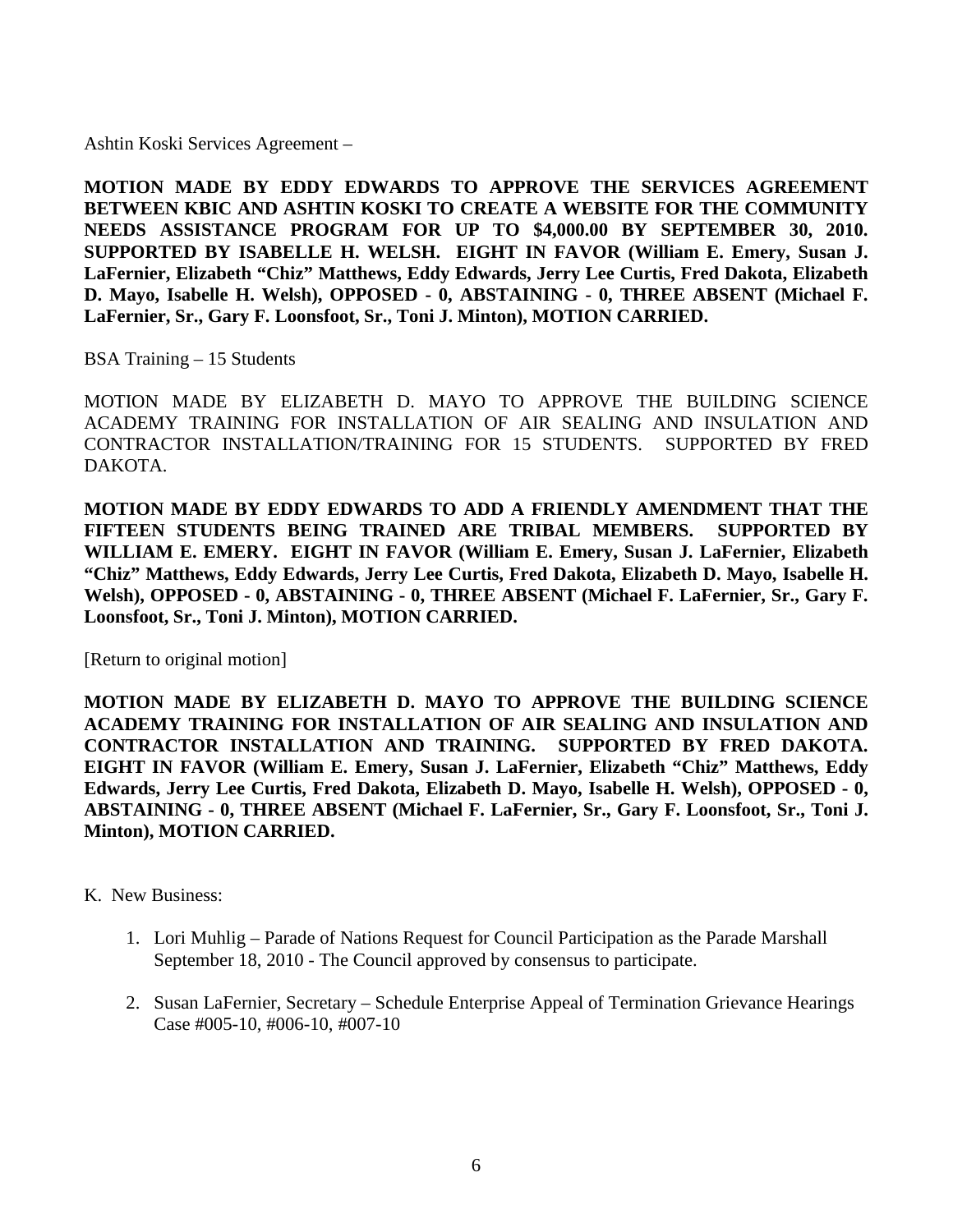Ashtin Koski Services Agreement –

**MOTION MADE BY EDDY EDWARDS TO APPROVE THE SERVICES AGREEMENT BETWEEN KBIC AND ASHTIN KOSKI TO CREATE A WEBSITE FOR THE COMMUNITY NEEDS ASSISTANCE PROGRAM FOR UP TO \$4,000.00 BY SEPTEMBER 30, 2010. SUPPORTED BY ISABELLE H. WELSH. EIGHT IN FAVOR (William E. Emery, Susan J. LaFernier, Elizabeth "Chiz" Matthews, Eddy Edwards, Jerry Lee Curtis, Fred Dakota, Elizabeth D. Mayo, Isabelle H. Welsh), OPPOSED - 0, ABSTAINING - 0, THREE ABSENT (Michael F. LaFernier, Sr., Gary F. Loonsfoot, Sr., Toni J. Minton), MOTION CARRIED.**

BSA Training – 15 Students

MOTION MADE BY ELIZABETH D. MAYO TO APPROVE THE BUILDING SCIENCE ACADEMY TRAINING FOR INSTALLATION OF AIR SEALING AND INSULATION AND CONTRACTOR INSTALLATION/TRAINING FOR 15 STUDENTS. SUPPORTED BY FRED DAKOTA.

**MOTION MADE BY EDDY EDWARDS TO ADD A FRIENDLY AMENDMENT THAT THE FIFTEEN STUDENTS BEING TRAINED ARE TRIBAL MEMBERS. SUPPORTED BY WILLIAM E. EMERY. EIGHT IN FAVOR (William E. Emery, Susan J. LaFernier, Elizabeth "Chiz" Matthews, Eddy Edwards, Jerry Lee Curtis, Fred Dakota, Elizabeth D. Mayo, Isabelle H. Welsh), OPPOSED - 0, ABSTAINING - 0, THREE ABSENT (Michael F. LaFernier, Sr., Gary F. Loonsfoot, Sr., Toni J. Minton), MOTION CARRIED.** 

[Return to original motion]

**MOTION MADE BY ELIZABETH D. MAYO TO APPROVE THE BUILDING SCIENCE ACADEMY TRAINING FOR INSTALLATION OF AIR SEALING AND INSULATION AND CONTRACTOR INSTALLATION AND TRAINING. SUPPORTED BY FRED DAKOTA. EIGHT IN FAVOR (William E. Emery, Susan J. LaFernier, Elizabeth "Chiz" Matthews, Eddy Edwards, Jerry Lee Curtis, Fred Dakota, Elizabeth D. Mayo, Isabelle H. Welsh), OPPOSED - 0, ABSTAINING - 0, THREE ABSENT (Michael F. LaFernier, Sr., Gary F. Loonsfoot, Sr., Toni J. Minton), MOTION CARRIED.**

- K. New Business:
	- 1. Lori Muhlig Parade of Nations Request for Council Participation as the Parade Marshall September 18, 2010 - The Council approved by consensus to participate.
	- 2. Susan LaFernier, Secretary Schedule Enterprise Appeal of Termination Grievance Hearings Case #005-10, #006-10, #007-10